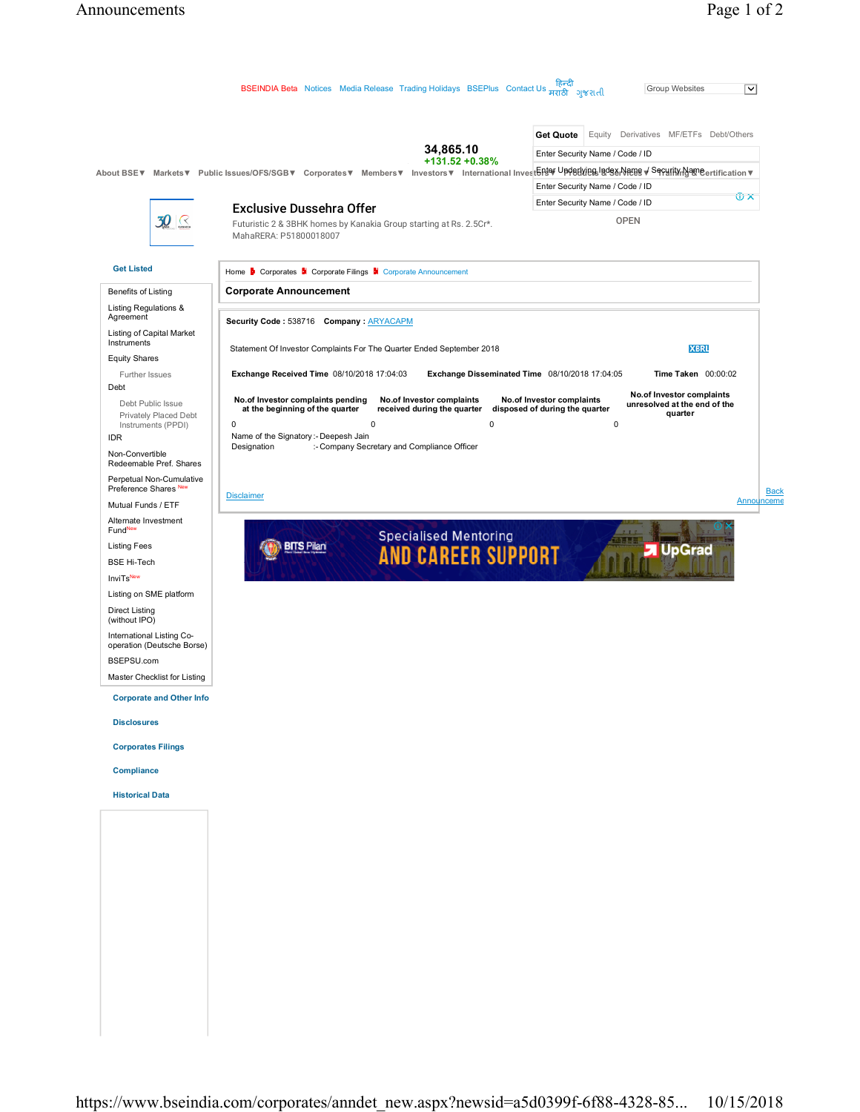|                                                                  | BSEINDIA Beta Notices Media Release Trading Holidays BSEPlus Contact Us Hard Javaid                                                                                              | हिन्दी<br><b>Group Websites</b><br>$\overline{\mathsf{v}}$                             |
|------------------------------------------------------------------|----------------------------------------------------------------------------------------------------------------------------------------------------------------------------------|----------------------------------------------------------------------------------------|
|                                                                  |                                                                                                                                                                                  |                                                                                        |
|                                                                  |                                                                                                                                                                                  | <b>Get Quote</b><br>Equity Derivatives MF/ETFs Debt/Others                             |
|                                                                  | 34,865.10<br>$+131.52 + 0.38%$                                                                                                                                                   | Enter Security Name / Code / ID                                                        |
|                                                                  | About BSE▼ Markets▼ Public Issues/OFS/SGB▼ Corporates▼ Members▼ Investors▼ International InvestნRISY <sup>UpA</sup> BENIBEN <mark>988AR088 → SePalif\/n}</mark> ameertification▼ |                                                                                        |
|                                                                  |                                                                                                                                                                                  | Enter Security Name / Code / ID<br>$\widehat{\mathbf{U}}$ $\mathbf{X}$                 |
|                                                                  | <b>Exclusive Dussehra Offer</b>                                                                                                                                                  | Enter Security Name / Code / ID                                                        |
| 30<br>$\left\langle \right\rangle$                               | Futuristic 2 & 3BHK homes by Kanakia Group starting at Rs. 2.5Cr*.<br>MahaRERA: P51800018007                                                                                     | <b>OPEN</b>                                                                            |
| <b>Get Listed</b>                                                | Home <b>b</b> Corporates <b>a</b> Corporate Filings <b>a</b> Corporate Announcement                                                                                              |                                                                                        |
| Benefits of Listing                                              | <b>Corporate Announcement</b>                                                                                                                                                    |                                                                                        |
| Listing Regulations &<br>Agreement                               | Security Code: 538716 Company: ARYACAPM                                                                                                                                          |                                                                                        |
| Listing of Capital Market<br>Instruments<br><b>Equity Shares</b> | Statement Of Investor Complaints For The Quarter Ended September 2018                                                                                                            | <b>XBRL</b>                                                                            |
| Further Issues                                                   | Exchange Received Time 08/10/2018 17:04:03<br>Exchange Disseminated Time 08/10/2018 17:04:05                                                                                     | Time Taken 00:00:02                                                                    |
| Debt<br>Debt Public Issue                                        | No.of Investor complaints pending<br>No.of Investor complaints                                                                                                                   | No.of Investor complaints<br>No.of Investor complaints<br>unresolved at the end of the |
| Privately Placed Debt                                            | received during the quarter<br>at the beginning of the quarter<br>$\mathbf 0$<br>0<br>0                                                                                          | disposed of during the quarter<br>quarter<br>$\mathbf 0$                               |
| Instruments (PPDI)<br><b>IDR</b>                                 | Name of the Signatory :- Deepesh Jain                                                                                                                                            |                                                                                        |
| Non-Convertible<br>Redeemable Pref. Shares                       | Designation<br>:- Company Secretary and Compliance Officer                                                                                                                       |                                                                                        |
| Perpetual Non-Cumulative<br>Preference Shares New                |                                                                                                                                                                                  | <b>Back</b>                                                                            |
| Mutual Funds / ETF                                               | <b>Disclaimer</b>                                                                                                                                                                | Announceme                                                                             |
| Alternate Investment<br>FundNew                                  |                                                                                                                                                                                  |                                                                                        |
| <b>Listing Fees</b>                                              | <b>BITS Pilani</b>                                                                                                                                                               | <b>J</b> UpGrad                                                                        |
| <b>BSE Hi-Tech</b>                                               | <b>Specialised Mentoring<br/>AND CAREER SUPPORT</b>                                                                                                                              |                                                                                        |
| <b>InviTsNew</b>                                                 |                                                                                                                                                                                  |                                                                                        |
| Listing on SME platform                                          |                                                                                                                                                                                  |                                                                                        |
| <b>Direct Listing</b><br>(without IPO)                           |                                                                                                                                                                                  |                                                                                        |
| International Listing Co-<br>operation (Deutsche Borse)          |                                                                                                                                                                                  |                                                                                        |
| BSEPSU.com                                                       |                                                                                                                                                                                  |                                                                                        |
| Master Checklist for Listing                                     |                                                                                                                                                                                  |                                                                                        |
| <b>Corporate and Other Info</b><br><b>Disclosures</b>            |                                                                                                                                                                                  |                                                                                        |
| <b>Corporates Filings</b>                                        |                                                                                                                                                                                  |                                                                                        |
| <b>Compliance</b>                                                |                                                                                                                                                                                  |                                                                                        |
| <b>Historical Data</b>                                           |                                                                                                                                                                                  |                                                                                        |
|                                                                  |                                                                                                                                                                                  |                                                                                        |
|                                                                  |                                                                                                                                                                                  |                                                                                        |
|                                                                  |                                                                                                                                                                                  |                                                                                        |
|                                                                  |                                                                                                                                                                                  |                                                                                        |
|                                                                  |                                                                                                                                                                                  |                                                                                        |
|                                                                  |                                                                                                                                                                                  |                                                                                        |
|                                                                  |                                                                                                                                                                                  |                                                                                        |
|                                                                  |                                                                                                                                                                                  |                                                                                        |
|                                                                  |                                                                                                                                                                                  |                                                                                        |
|                                                                  |                                                                                                                                                                                  |                                                                                        |
|                                                                  |                                                                                                                                                                                  |                                                                                        |
|                                                                  |                                                                                                                                                                                  |                                                                                        |
|                                                                  |                                                                                                                                                                                  |                                                                                        |